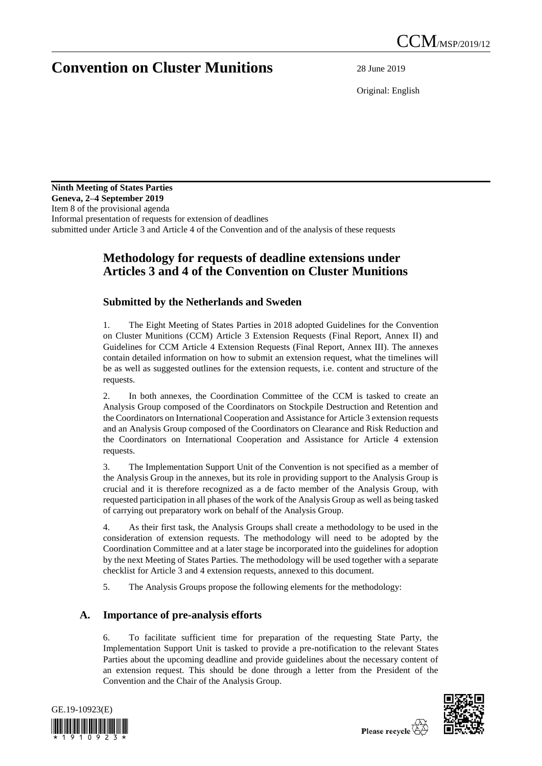# **Convention on Cluster Munitions** 28 June 2019

Original: English

**Ninth Meeting of States Parties Geneva, 2–4 September 2019** Item 8 of the provisional agenda Informal presentation of requests for extension of deadlines submitted under Article 3 and Article 4 of the Convention and of the analysis of these requests

# **Methodology for requests of deadline extensions under Articles 3 and 4 of the Convention on Cluster Munitions**

# **Submitted by the Netherlands and Sweden**

1. The Eight Meeting of States Parties in 2018 adopted Guidelines for the Convention on Cluster Munitions (CCM) Article 3 Extension Requests (Final Report, Annex II) and Guidelines for CCM Article 4 Extension Requests (Final Report, Annex III). The annexes contain detailed information on how to submit an extension request, what the timelines will be as well as suggested outlines for the extension requests, i.e. content and structure of the requests.

2. In both annexes, the Coordination Committee of the CCM is tasked to create an Analysis Group composed of the Coordinators on Stockpile Destruction and Retention and the Coordinators on International Cooperation and Assistance for Article 3 extension requests and an Analysis Group composed of the Coordinators on Clearance and Risk Reduction and the Coordinators on International Cooperation and Assistance for Article 4 extension requests.

3. The Implementation Support Unit of the Convention is not specified as a member of the Analysis Group in the annexes, but its role in providing support to the Analysis Group is crucial and it is therefore recognized as a de facto member of the Analysis Group, with requested participation in all phases of the work of the Analysis Group as well as being tasked of carrying out preparatory work on behalf of the Analysis Group.

4. As their first task, the Analysis Groups shall create a methodology to be used in the consideration of extension requests. The methodology will need to be adopted by the Coordination Committee and at a later stage be incorporated into the guidelines for adoption by the next Meeting of States Parties. The methodology will be used together with a separate checklist for Article 3 and 4 extension requests, annexed to this document.

5. The Analysis Groups propose the following elements for the methodology:

# **A. Importance of pre-analysis efforts**

6. To facilitate sufficient time for preparation of the requesting State Party, the Implementation Support Unit is tasked to provide a pre-notification to the relevant States Parties about the upcoming deadline and provide guidelines about the necessary content of an extension request. This should be done through a letter from the President of the Convention and the Chair of the Analysis Group.



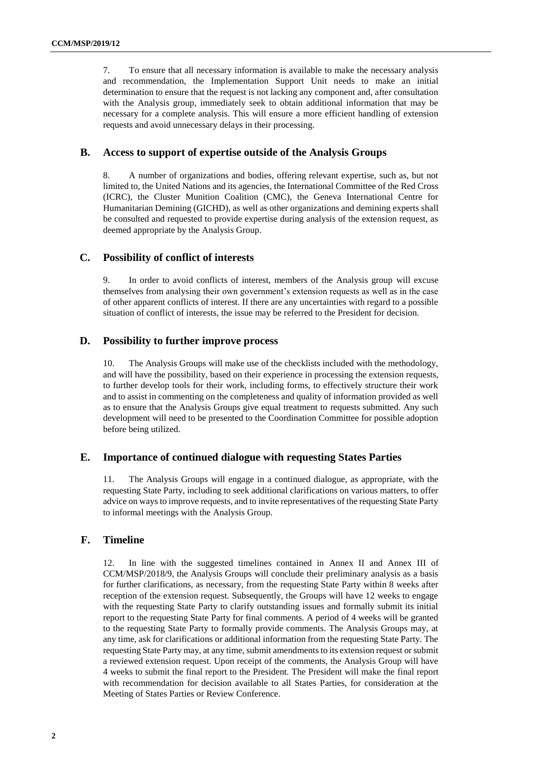7. To ensure that all necessary information is available to make the necessary analysis and recommendation, the Implementation Support Unit needs to make an initial determination to ensure that the request is not lacking any component and, after consultation with the Analysis group, immediately seek to obtain additional information that may be necessary for a complete analysis. This will ensure a more efficient handling of extension requests and avoid unnecessary delays in their processing.

#### **B. Access to support of expertise outside of the Analysis Groups**

8. A number of organizations and bodies, offering relevant expertise, such as, but not limited to, the United Nations and its agencies, the International Committee of the Red Cross (ICRC), the Cluster Munition Coalition (CMC), the Geneva International Centre for Humanitarian Demining (GICHD), as well as other organizations and demining experts shall be consulted and requested to provide expertise during analysis of the extension request, as deemed appropriate by the Analysis Group.

#### **C. Possibility of conflict of interests**

9. In order to avoid conflicts of interest, members of the Analysis group will excuse themselves from analysing their own government's extension requests as well as in the case of other apparent conflicts of interest. If there are any uncertainties with regard to a possible situation of conflict of interests, the issue may be referred to the President for decision.

#### **D. Possibility to further improve process**

10. The Analysis Groups will make use of the checklists included with the methodology, and will have the possibility, based on their experience in processing the extension requests, to further develop tools for their work, including forms, to effectively structure their work and to assist in commenting on the completeness and quality of information provided as well as to ensure that the Analysis Groups give equal treatment to requests submitted. Any such development will need to be presented to the Coordination Committee for possible adoption before being utilized.

#### **E. Importance of continued dialogue with requesting States Parties**

11. The Analysis Groups will engage in a continued dialogue, as appropriate, with the requesting State Party, including to seek additional clarifications on various matters, to offer advice on ways to improve requests, and to invite representatives of the requesting State Party to informal meetings with the Analysis Group.

#### **F. Timeline**

12. In line with the suggested timelines contained in Annex II and Annex III of CCM/MSP/2018/9, the Analysis Groups will conclude their preliminary analysis as a basis for further clarifications, as necessary, from the requesting State Party within 8 weeks after reception of the extension request. Subsequently, the Groups will have 12 weeks to engage with the requesting State Party to clarify outstanding issues and formally submit its initial report to the requesting State Party for final comments. A period of 4 weeks will be granted to the requesting State Party to formally provide comments. The Analysis Groups may, at any time, ask for clarifications or additional information from the requesting State Party. The requesting State Party may, at any time, submit amendments to its extension request or submit a reviewed extension request. Upon receipt of the comments, the Analysis Group will have 4 weeks to submit the final report to the President. The President will make the final report with recommendation for decision available to all States Parties, for consideration at the Meeting of States Parties or Review Conference.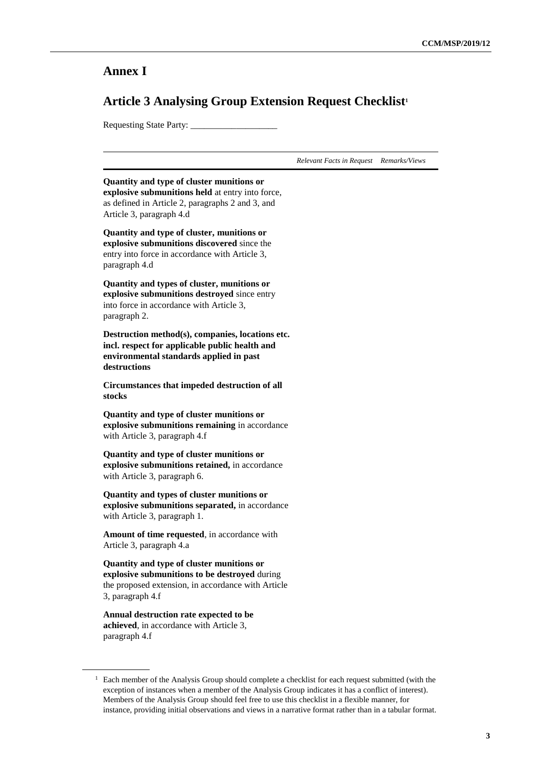## **Annex I**

## **Article 3 Analysing Group Extension Request Checklist<sup>1</sup>**

Requesting State Party:

*Relevant Facts in Request Remarks/Views*

**Quantity and type of cluster munitions or explosive submunitions held** at entry into force, as defined in Article 2, paragraphs 2 and 3, and Article 3, paragraph 4.d

**Quantity and type of cluster, munitions or explosive submunitions discovered** since the entry into force in accordance with Article 3, paragraph 4.d

**Quantity and types of cluster, munitions or explosive submunitions destroyed** since entry into force in accordance with Article 3, paragraph 2.

**Destruction method(s), companies, locations etc. incl. respect for applicable public health and environmental standards applied in past destructions**

**Circumstances that impeded destruction of all stocks**

**Quantity and type of cluster munitions or explosive submunitions remaining** in accordance with Article 3, paragraph 4.f

**Quantity and type of cluster munitions or explosive submunitions retained,** in accordance with Article 3, paragraph 6.

**Quantity and types of cluster munitions or explosive submunitions separated,** in accordance with Article 3, paragraph 1.

**Amount of time requested**, in accordance with Article 3, paragraph 4.a

**Quantity and type of cluster munitions or explosive submunitions to be destroyed** during the proposed extension, in accordance with Article 3, paragraph 4.f

**Annual destruction rate expected to be achieved**, in accordance with Article 3, paragraph 4.f

<sup>&</sup>lt;sup>1</sup> Each member of the Analysis Group should complete a checklist for each request submitted (with the exception of instances when a member of the Analysis Group indicates it has a conflict of interest). Members of the Analysis Group should feel free to use this checklist in a flexible manner, for instance, providing initial observations and views in a narrative format rather than in a tabular format.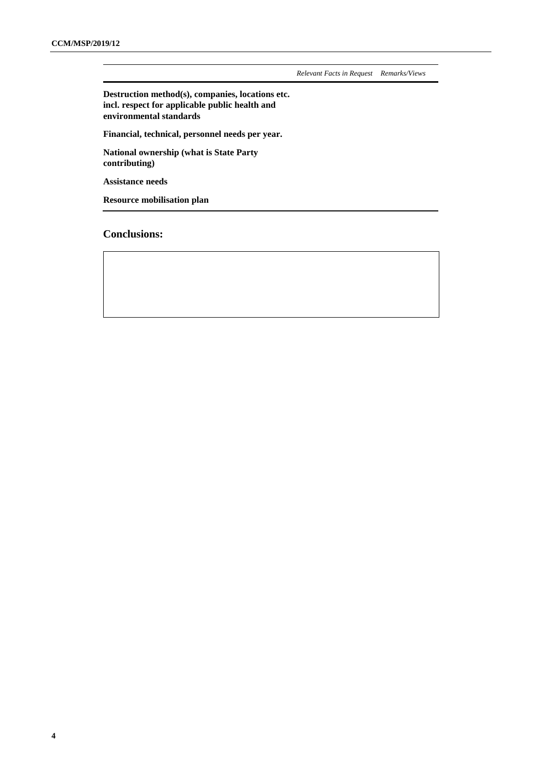*Relevant Facts in Request Remarks/Views*

**Destruction method(s), companies, locations etc. incl. respect for applicable public health and environmental standards**

**Financial, technical, personnel needs per year.**

**National ownership (what is State Party contributing)**

**Assistance needs**

**Resource mobilisation plan**

# **Conclusions:**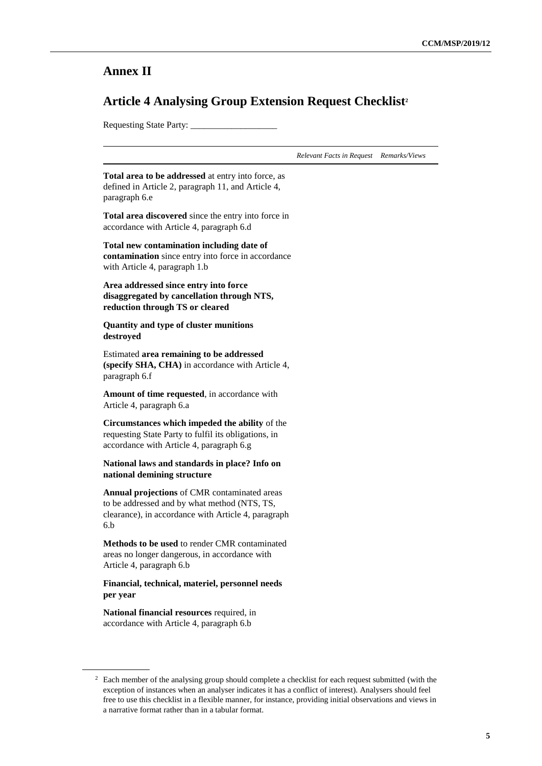# **Annex II**

# **Article 4 Analysing Group Extension Request Checklist<sup>2</sup>**

Requesting State Party:

*Relevant Facts in Request Remarks/Views* **Total area to be addressed** at entry into force, as defined in Article 2, paragraph 11, and Article 4, paragraph 6.e **Total area discovered** since the entry into force in accordance with Article 4, paragraph 6.d **Total new contamination including date of contamination** since entry into force in accordance with Article 4, paragraph 1.b **Area addressed since entry into force disaggregated by cancellation through NTS, reduction through TS or cleared Quantity and type of cluster munitions destroyed** Estimated **area remaining to be addressed (specify SHA, CHA)** in accordance with Article 4, paragraph 6.f **Amount of time requested**, in accordance with Article 4, paragraph 6.a **Circumstances which impeded the ability** of the requesting State Party to fulfil its obligations, in accordance with Article 4, paragraph 6.g **National laws and standards in place? Info on national demining structure Annual projections** of CMR contaminated areas to be addressed and by what method (NTS, TS, clearance), in accordance with Article 4, paragraph 6.b **Methods to be used** to render CMR contaminated areas no longer dangerous, in accordance with Article 4, paragraph 6.b **Financial, technical, materiel, personnel needs per year National financial resources** required, in accordance with Article 4, paragraph 6.b

<sup>&</sup>lt;sup>2</sup> Each member of the analysing group should complete a checklist for each request submitted (with the exception of instances when an analyser indicates it has a conflict of interest). Analysers should feel free to use this checklist in a flexible manner, for instance, providing initial observations and views in a narrative format rather than in a tabular format.